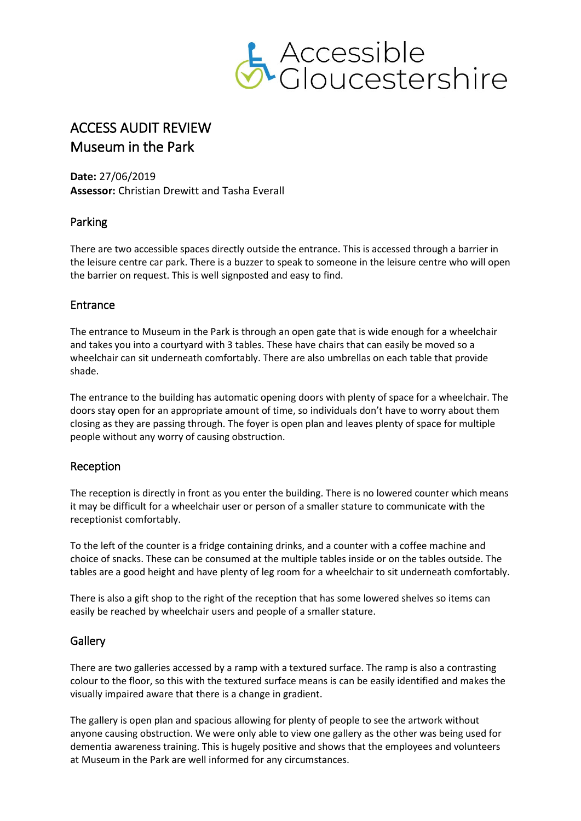

# ACCESS AUDIT REVIEW Museum in the Park

**Date:** 27/06/2019 **Assessor:** Christian Drewitt and Tasha Everall

### Parking

There are two accessible spaces directly outside the entrance. This is accessed through a barrier in the leisure centre car park. There is a buzzer to speak to someone in the leisure centre who will open the barrier on request. This is well signposted and easy to find.

### Entrance

The entrance to Museum in the Park is through an open gate that is wide enough for a wheelchair and takes you into a courtyard with 3 tables. These have chairs that can easily be moved so a wheelchair can sit underneath comfortably. There are also umbrellas on each table that provide shade.

The entrance to the building has automatic opening doors with plenty of space for a wheelchair. The doors stay open for an appropriate amount of time, so individuals don't have to worry about them closing as they are passing through. The foyer is open plan and leaves plenty of space for multiple people without any worry of causing obstruction.

### Reception

The reception is directly in front as you enter the building. There is no lowered counter which means it may be difficult for a wheelchair user or person of a smaller stature to communicate with the receptionist comfortably.

To the left of the counter is a fridge containing drinks, and a counter with a coffee machine and choice of snacks. These can be consumed at the multiple tables inside or on the tables outside. The tables are a good height and have plenty of leg room for a wheelchair to sit underneath comfortably.

There is also a gift shop to the right of the reception that has some lowered shelves so items can easily be reached by wheelchair users and people of a smaller stature.

### **Gallery**

There are two galleries accessed by a ramp with a textured surface. The ramp is also a contrasting colour to the floor, so this with the textured surface means is can be easily identified and makes the visually impaired aware that there is a change in gradient.

The gallery is open plan and spacious allowing for plenty of people to see the artwork without anyone causing obstruction. We were only able to view one gallery as the other was being used for dementia awareness training. This is hugely positive and shows that the employees and volunteers at Museum in the Park are well informed for any circumstances.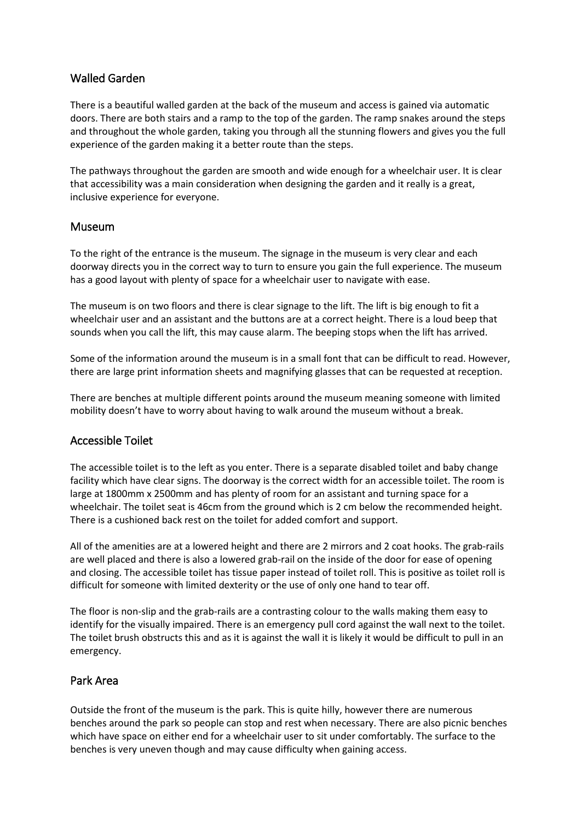## Walled Garden

There is a beautiful walled garden at the back of the museum and access is gained via automatic doors. There are both stairs and a ramp to the top of the garden. The ramp snakes around the steps and throughout the whole garden, taking you through all the stunning flowers and gives you the full experience of the garden making it a better route than the steps.

The pathways throughout the garden are smooth and wide enough for a wheelchair user. It is clear that accessibility was a main consideration when designing the garden and it really is a great, inclusive experience for everyone.

#### Museum

To the right of the entrance is the museum. The signage in the museum is very clear and each doorway directs you in the correct way to turn to ensure you gain the full experience. The museum has a good layout with plenty of space for a wheelchair user to navigate with ease.

The museum is on two floors and there is clear signage to the lift. The lift is big enough to fit a wheelchair user and an assistant and the buttons are at a correct height. There is a loud beep that sounds when you call the lift, this may cause alarm. The beeping stops when the lift has arrived.

Some of the information around the museum is in a small font that can be difficult to read. However, there are large print information sheets and magnifying glasses that can be requested at reception.

There are benches at multiple different points around the museum meaning someone with limited mobility doesn't have to worry about having to walk around the museum without a break.

### Accessible Toilet

The accessible toilet is to the left as you enter. There is a separate disabled toilet and baby change facility which have clear signs. The doorway is the correct width for an accessible toilet. The room is large at 1800mm x 2500mm and has plenty of room for an assistant and turning space for a wheelchair. The toilet seat is 46cm from the ground which is 2 cm below the recommended height. There is a cushioned back rest on the toilet for added comfort and support.

All of the amenities are at a lowered height and there are 2 mirrors and 2 coat hooks. The grab-rails are well placed and there is also a lowered grab-rail on the inside of the door for ease of opening and closing. The accessible toilet has tissue paper instead of toilet roll. This is positive as toilet roll is difficult for someone with limited dexterity or the use of only one hand to tear off.

The floor is non-slip and the grab-rails are a contrasting colour to the walls making them easy to identify for the visually impaired. There is an emergency pull cord against the wall next to the toilet. The toilet brush obstructs this and as it is against the wall it is likely it would be difficult to pull in an emergency.

### Park Area

Outside the front of the museum is the park. This is quite hilly, however there are numerous benches around the park so people can stop and rest when necessary. There are also picnic benches which have space on either end for a wheelchair user to sit under comfortably. The surface to the benches is very uneven though and may cause difficulty when gaining access.